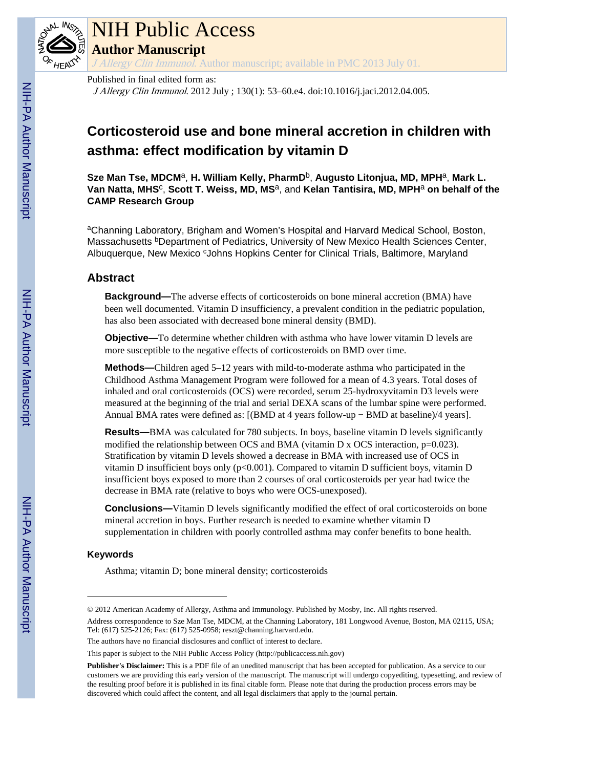

# NIH Public Access **Author Manuscript**

J Allergy Clin Immunol. Author manuscript; available in PMC 2013 July 01.

#### Published in final edited form as:

J Allergy Clin Immunol. 2012 July ; 130(1): 53–60.e4. doi:10.1016/j.jaci.2012.04.005.

# **Corticosteroid use and bone mineral accretion in children with asthma: effect modification by vitamin D**

**Sze Man Tse, MDCM**a, **H. William Kelly, PharmD**b, **Augusto Litonjua, MD, MPH**a, **Mark L. Van Natta, MHS**<sup>c</sup> , **Scott T. Weiss, MD, MS**a, and **Kelan Tantisira, MD, MPH**<sup>a</sup> **on behalf of the CAMP Research Group**

aChanning Laboratory, Brigham and Women's Hospital and Harvard Medical School, Boston, Massachusetts <sup>b</sup>Department of Pediatrics, University of New Mexico Health Sciences Center, Albuquerque, New Mexico <sup>c</sup>Johns Hopkins Center for Clinical Trials, Baltimore, Maryland

# **Abstract**

**Background—**The adverse effects of corticosteroids on bone mineral accretion (BMA) have been well documented. Vitamin D insufficiency, a prevalent condition in the pediatric population, has also been associated with decreased bone mineral density (BMD).

**Objective—**To determine whether children with asthma who have lower vitamin D levels are more susceptible to the negative effects of corticosteroids on BMD over time.

**Methods—**Children aged 5–12 years with mild-to-moderate asthma who participated in the Childhood Asthma Management Program were followed for a mean of 4.3 years. Total doses of inhaled and oral corticosteroids (OCS) were recorded, serum 25-hydroxyvitamin D3 levels were measured at the beginning of the trial and serial DEXA scans of the lumbar spine were performed. Annual BMA rates were defined as: [(BMD at 4 years follow-up − BMD at baseline)/4 years].

**Results—**BMA was calculated for 780 subjects. In boys, baseline vitamin D levels significantly modified the relationship between OCS and BMA (vitamin D x OCS interaction,  $p=0.023$ ). Stratification by vitamin D levels showed a decrease in BMA with increased use of OCS in vitamin D insufficient boys only  $(p<0.001)$ . Compared to vitamin D sufficient boys, vitamin D insufficient boys exposed to more than 2 courses of oral corticosteroids per year had twice the decrease in BMA rate (relative to boys who were OCS-unexposed).

**Conclusions—**Vitamin D levels significantly modified the effect of oral corticosteroids on bone mineral accretion in boys. Further research is needed to examine whether vitamin D supplementation in children with poorly controlled asthma may confer benefits to bone health.

## **Keywords**

Asthma; vitamin D; bone mineral density; corticosteroids

<sup>© 2012</sup> American Academy of Allergy, Asthma and Immunology. Published by Mosby, Inc. All rights reserved.

Address correspondence to Sze Man Tse, MDCM, at the Channing Laboratory, 181 Longwood Avenue, Boston, MA 02115, USA; Tel: (617) 525-2126; Fax: (617) 525-0958; reszt@channing.harvard.edu.

The authors have no financial disclosures and conflict of interest to declare.

This paper is subject to the NIH Public Access Policy [\(http://publicaccess.nih.gov](http://publicaccess.nih.gov))

**Publisher's Disclaimer:** This is a PDF file of an unedited manuscript that has been accepted for publication. As a service to our customers we are providing this early version of the manuscript. The manuscript will undergo copyediting, typesetting, and review of the resulting proof before it is published in its final citable form. Please note that during the production process errors may be discovered which could affect the content, and all legal disclaimers that apply to the journal pertain.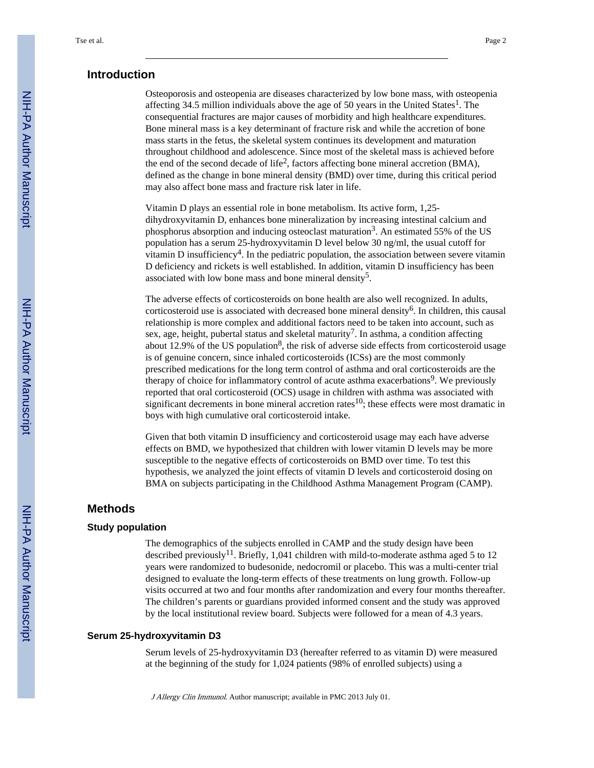#### **Introduction**

Osteoporosis and osteopenia are diseases characterized by low bone mass, with osteopenia affecting 34.5 million individuals above the age of 50 years in the United States<sup>1</sup>. The consequential fractures are major causes of morbidity and high healthcare expenditures. Bone mineral mass is a key determinant of fracture risk and while the accretion of bone mass starts in the fetus, the skeletal system continues its development and maturation throughout childhood and adolescence. Since most of the skeletal mass is achieved before the end of the second decade of life<sup>2</sup>, factors affecting bone mineral accretion (BMA), defined as the change in bone mineral density (BMD) over time, during this critical period may also affect bone mass and fracture risk later in life.

Vitamin D plays an essential role in bone metabolism. Its active form, 1,25 dihydroxyvitamin D, enhances bone mineralization by increasing intestinal calcium and phosphorus absorption and inducing osteoclast maturation<sup>3</sup>. An estimated 55% of the US population has a serum 25-hydroxyvitamin D level below 30 ng/ml, the usual cutoff for vitamin D insufficiency<sup>4</sup>. In the pediatric population, the association between severe vitamin D deficiency and rickets is well established. In addition, vitamin D insufficiency has been associated with low bone mass and bone mineral density<sup>5</sup>.

The adverse effects of corticosteroids on bone health are also well recognized. In adults, corticosteroid use is associated with decreased bone mineral density<sup>6</sup>. In children, this causal relationship is more complex and additional factors need to be taken into account, such as sex, age, height, pubertal status and skeletal maturity<sup>7</sup>. In asthma, a condition affecting about 12.9% of the US population<sup>8</sup>, the risk of adverse side effects from corticosteroid usage is of genuine concern, since inhaled corticosteroids (ICSs) are the most commonly prescribed medications for the long term control of asthma and oral corticosteroids are the therapy of choice for inflammatory control of acute asthma exacerbations<sup>9</sup>. We previously reported that oral corticosteroid (OCS) usage in children with asthma was associated with significant decrements in bone mineral accretion rates<sup>10</sup>; these effects were most dramatic in boys with high cumulative oral corticosteroid intake.

Given that both vitamin D insufficiency and corticosteroid usage may each have adverse effects on BMD, we hypothesized that children with lower vitamin D levels may be more susceptible to the negative effects of corticosteroids on BMD over time. To test this hypothesis, we analyzed the joint effects of vitamin D levels and corticosteroid dosing on BMA on subjects participating in the Childhood Asthma Management Program (CAMP).

# **Methods**

#### **Study population**

The demographics of the subjects enrolled in CAMP and the study design have been described previously<sup>11</sup>. Briefly, 1,041 children with mild-to-moderate asthma aged 5 to 12 years were randomized to budesonide, nedocromil or placebo. This was a multi-center trial designed to evaluate the long-term effects of these treatments on lung growth. Follow-up visits occurred at two and four months after randomization and every four months thereafter. The children's parents or guardians provided informed consent and the study was approved by the local institutional review board. Subjects were followed for a mean of 4.3 years.

#### **Serum 25-hydroxyvitamin D3**

Serum levels of 25-hydroxyvitamin D3 (hereafter referred to as vitamin D) were measured at the beginning of the study for 1,024 patients (98% of enrolled subjects) using a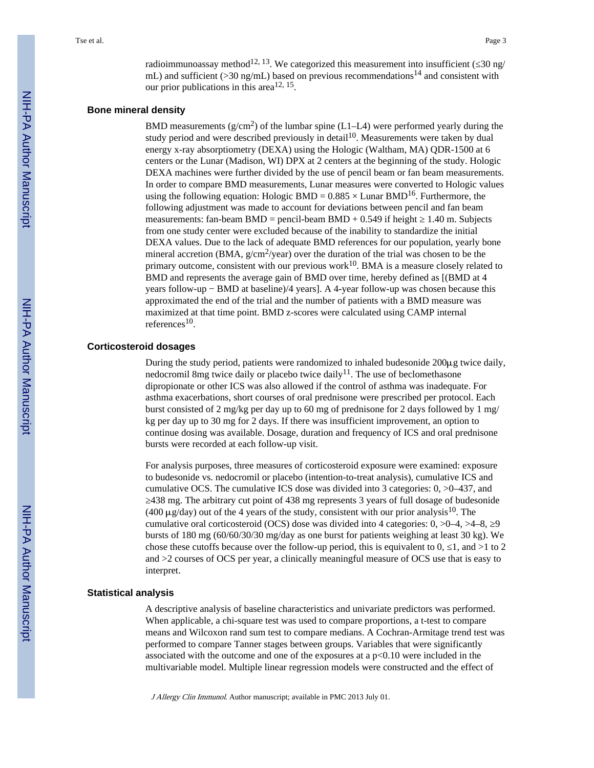radioimmunoassay method<sup>12, 13</sup>. We categorized this measurement into insufficient ( $\frac{30 \text{ ng}}{20 \text{ mg}}$ ) mL) and sufficient ( $>$ 30 ng/mL) based on previous recommendations<sup>14</sup> and consistent with our prior publications in this area<sup>12, 15</sup>.

#### **Bone mineral density**

BMD measurements ( $g/cm<sup>2</sup>$ ) of the lumbar spine (L1–L4) were performed yearly during the study period and were described previously in detail<sup>10</sup>. Measurements were taken by dual energy x-ray absorptiometry (DEXA) using the Hologic (Waltham, MA) QDR-1500 at 6 centers or the Lunar (Madison, WI) DPX at 2 centers at the beginning of the study. Hologic DEXA machines were further divided by the use of pencil beam or fan beam measurements. In order to compare BMD measurements, Lunar measures were converted to Hologic values using the following equation: Hologic BMD =  $0.885 \times$  Lunar BMD<sup>16</sup>. Furthermore, the following adjustment was made to account for deviations between pencil and fan beam measurements: fan-beam  $BMD =$  pencil-beam  $BMD + 0.549$  if height  $\quad 1.40$  m. Subjects from one study center were excluded because of the inability to standardize the initial DEXA values. Due to the lack of adequate BMD references for our population, yearly bone mineral accretion (BMA,  $g/cm^2$ /year) over the duration of the trial was chosen to be the primary outcome, consistent with our previous work $10$ . BMA is a measure closely related to BMD and represents the average gain of BMD over time, hereby defined as [(BMD at 4 years follow-up − BMD at baseline)/4 years]. A 4-year follow-up was chosen because this approximated the end of the trial and the number of patients with a BMD measure was maximized at that time point. BMD z-scores were calculated using CAMP internal references $^{10}$ .

#### **Corticosteroid dosages**

During the study period, patients were randomized to inhaled budesonide 200μg twice daily, nedocromil 8mg twice daily or placebo twice daily<sup>11</sup>. The use of beclomethasone dipropionate or other ICS was also allowed if the control of asthma was inadequate. For asthma exacerbations, short courses of oral prednisone were prescribed per protocol. Each burst consisted of 2 mg/kg per day up to 60 mg of prednisone for 2 days followed by 1 mg/ kg per day up to 30 mg for 2 days. If there was insufficient improvement, an option to continue dosing was available. Dosage, duration and frequency of ICS and oral prednisone bursts were recorded at each follow-up visit.

For analysis purposes, three measures of corticosteroid exposure were examined: exposure to budesonide vs. nedocromil or placebo (intention-to-treat analysis), cumulative ICS and cumulative OCS. The cumulative ICS dose was divided into 3 categories: 0, >0–437, and ≥438 mg. The arbitrary cut point of 438 mg represents 3 years of full dosage of budesonide (400  $\mu$ g/day) out of the 4 years of the study, consistent with our prior analysis<sup>10</sup>. The cumulative oral corticosteroid (OCS) dose was divided into 4 categories:  $0, >0-4, >4-8, 9$ bursts of 180 mg (60/60/30/30 mg/day as one burst for patients weighing at least 30 kg). We chose these cutoffs because over the follow-up period, this is equivalent to 0,  $\pm$  1, and  $>1$  to 2 and >2 courses of OCS per year, a clinically meaningful measure of OCS use that is easy to interpret.

#### **Statistical analysis**

A descriptive analysis of baseline characteristics and univariate predictors was performed. When applicable, a chi-square test was used to compare proportions, a t-test to compare means and Wilcoxon rand sum test to compare medians. A Cochran-Armitage trend test was performed to compare Tanner stages between groups. Variables that were significantly associated with the outcome and one of the exposures at a  $p<0.10$  were included in the multivariable model. Multiple linear regression models were constructed and the effect of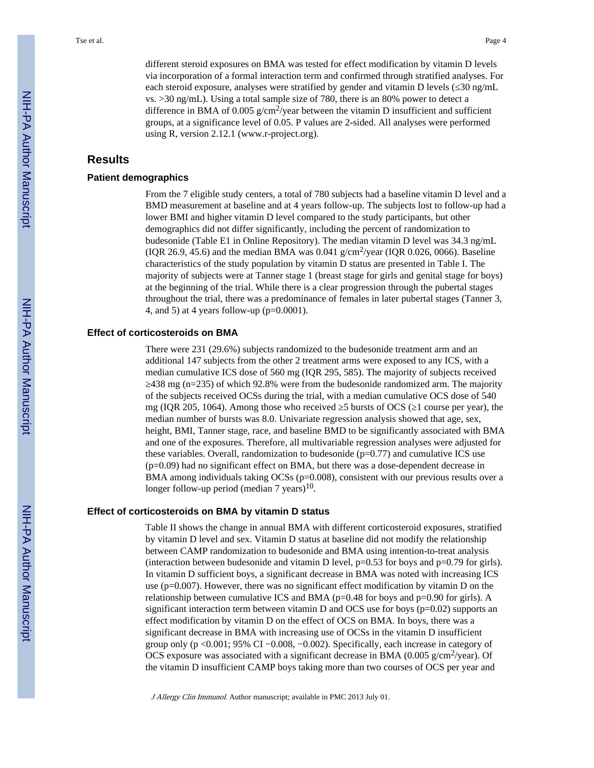different steroid exposures on BMA was tested for effect modification by vitamin D levels via incorporation of a formal interaction term and confirmed through stratified analyses. For each steroid exposure, analyses were stratified by gender and vitamin D levels ( $\frac{30 \text{ ng/mL}}{ }$ vs. >30 ng/mL). Using a total sample size of 780, there is an 80% power to detect a difference in BMA of 0.005  $g/cm^2$ /year between the vitamin D insufficient and sufficient groups, at a significance level of 0.05. P values are 2-sided. All analyses were performed using R, version 2.12.1 (www.r-project.org).

# **Results**

#### **Patient demographics**

From the 7 eligible study centers, a total of 780 subjects had a baseline vitamin D level and a BMD measurement at baseline and at 4 years follow-up. The subjects lost to follow-up had a lower BMI and higher vitamin D level compared to the study participants, but other demographics did not differ significantly, including the percent of randomization to budesonide (Table E1 in Online Repository). The median vitamin D level was 34.3 ng/mL (IQR 26.9, 45.6) and the median BMA was  $0.041$  g/cm<sup>2</sup>/year (IQR 0.026, 0066). Baseline characteristics of the study population by vitamin D status are presented in Table I. The majority of subjects were at Tanner stage 1 (breast stage for girls and genital stage for boys) at the beginning of the trial. While there is a clear progression through the pubertal stages throughout the trial, there was a predominance of females in later pubertal stages (Tanner 3, 4, and 5) at 4 years follow-up ( $p=0.0001$ ).

#### **Effect of corticosteroids on BMA**

There were 231 (29.6%) subjects randomized to the budesonide treatment arm and an additional 147 subjects from the other 2 treatment arms were exposed to any ICS, with a median cumulative ICS dose of 560 mg (IQR 295, 585). The majority of subjects received ≥438 mg (n=235) of which 92.8% were from the budesonide randomized arm. The majority of the subjects received OCSs during the trial, with a median cumulative OCS dose of 540 mg (IQR 205, 1064). Among those who received 5 bursts of OCS (1 course per year), the median number of bursts was 8.0. Univariate regression analysis showed that age, sex, height, BMI, Tanner stage, race, and baseline BMD to be significantly associated with BMA and one of the exposures. Therefore, all multivariable regression analyses were adjusted for these variables. Overall, randomization to budesonide  $(p=0.77)$  and cumulative ICS use (p=0.09) had no significant effect on BMA, but there was a dose-dependent decrease in BMA among individuals taking OCSs (p=0.008), consistent with our previous results over a longer follow-up period (median 7 years) $10$ .

#### **Effect of corticosteroids on BMA by vitamin D status**

Table II shows the change in annual BMA with different corticosteroid exposures, stratified by vitamin D level and sex. Vitamin D status at baseline did not modify the relationship between CAMP randomization to budesonide and BMA using intention-to-treat analysis (interaction between budesonide and vitamin D level,  $p=0.53$  for boys and  $p=0.79$  for girls). In vitamin D sufficient boys, a significant decrease in BMA was noted with increasing ICS use ( $p=0.007$ ). However, there was no significant effect modification by vitamin D on the relationship between cumulative ICS and BMA ( $p=0.48$  for boys and  $p=0.90$  for girls). A significant interaction term between vitamin D and OCS use for boys ( $p=0.02$ ) supports an effect modification by vitamin D on the effect of OCS on BMA. In boys, there was a significant decrease in BMA with increasing use of OCSs in the vitamin D insufficient group only ( $p \le 0.001$ ; 95% CI  $-0.008$ ,  $-0.002$ ). Specifically, each increase in category of OCS exposure was associated with a significant decrease in BMA (0.005 g/cm<sup>2</sup>/year). Of the vitamin D insufficient CAMP boys taking more than two courses of OCS per year and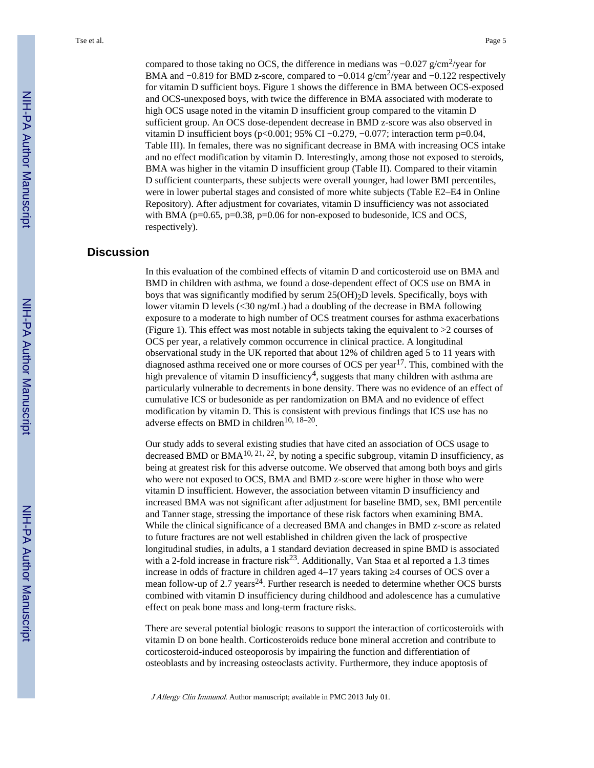compared to those taking no OCS, the difference in medians was  $-0.027$  g/cm<sup>2</sup>/year for BMA and –0.819 for BMD z-score, compared to –0.014 g/cm<sup>2</sup>/year and –0.122 respectively for vitamin D sufficient boys. Figure 1 shows the difference in BMA between OCS-exposed and OCS-unexposed boys, with twice the difference in BMA associated with moderate to high OCS usage noted in the vitamin D insufficient group compared to the vitamin D sufficient group. An OCS dose-dependent decrease in BMD z-score was also observed in vitamin D insufficient boys (p<0.001; 95% CI –0.279, –0.077; interaction term p=0.04, Table III). In females, there was no significant decrease in BMA with increasing OCS intake and no effect modification by vitamin D. Interestingly, among those not exposed to steroids, BMA was higher in the vitamin D insufficient group (Table II). Compared to their vitamin D sufficient counterparts, these subjects were overall younger, had lower BMI percentiles, were in lower pubertal stages and consisted of more white subjects (Table E2–E4 in Online Repository). After adjustment for covariates, vitamin D insufficiency was not associated with BMA (p=0.65, p=0.38, p=0.06 for non-exposed to budesonide, ICS and OCS, respectively).

# **Discussion**

In this evaluation of the combined effects of vitamin D and corticosteroid use on BMA and BMD in children with asthma, we found a dose-dependent effect of OCS use on BMA in boys that was significantly modified by serum  $25(OH)<sub>2</sub>D$  levels. Specifically, boys with lower vitamin D levels (≤30 ng/mL) had a doubling of the decrease in BMA following exposure to a moderate to high number of OCS treatment courses for asthma exacerbations (Figure 1). This effect was most notable in subjects taking the equivalent to >2 courses of OCS per year, a relatively common occurrence in clinical practice. A longitudinal observational study in the UK reported that about 12% of children aged 5 to 11 years with diagnosed asthma received one or more courses of OCS per year<sup>17</sup>. This, combined with the high prevalence of vitamin D insufficiency<sup>4</sup>, suggests that many children with asthma are particularly vulnerable to decrements in bone density. There was no evidence of an effect of cumulative ICS or budesonide as per randomization on BMA and no evidence of effect modification by vitamin D. This is consistent with previous findings that ICS use has no adverse effects on BMD in children<sup>10, 18–20</sup>.

Our study adds to several existing studies that have cited an association of OCS usage to decreased BMD or BMA<sup>10, 21, 22</sup>, by noting a specific subgroup, vitamin D insufficiency, as being at greatest risk for this adverse outcome. We observed that among both boys and girls who were not exposed to OCS, BMA and BMD z-score were higher in those who were vitamin D insufficient. However, the association between vitamin D insufficiency and increased BMA was not significant after adjustment for baseline BMD, sex, BMI percentile and Tanner stage, stressing the importance of these risk factors when examining BMA. While the clinical significance of a decreased BMA and changes in BMD z-score as related to future fractures are not well established in children given the lack of prospective longitudinal studies, in adults, a 1 standard deviation decreased in spine BMD is associated with a 2-fold increase in fracture risk<sup>23</sup>. Additionally, Van Staa et al reported a 1.3 times increase in odds of fracture in children aged 4–17 years taking ≥4 courses of OCS over a mean follow-up of 2.7 years<sup>24</sup>. Further research is needed to determine whether OCS bursts combined with vitamin D insufficiency during childhood and adolescence has a cumulative effect on peak bone mass and long-term fracture risks.

There are several potential biologic reasons to support the interaction of corticosteroids with vitamin D on bone health. Corticosteroids reduce bone mineral accretion and contribute to corticosteroid-induced osteoporosis by impairing the function and differentiation of osteoblasts and by increasing osteoclasts activity. Furthermore, they induce apoptosis of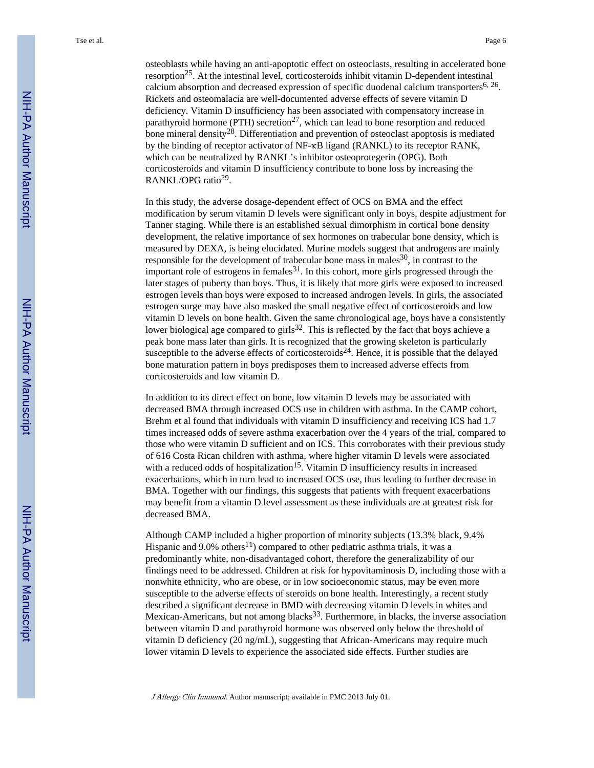osteoblasts while having an anti-apoptotic effect on osteoclasts, resulting in accelerated bone resorption<sup>25</sup>. At the intestinal level, corticosteroids inhibit vitamin D-dependent intestinal calcium absorption and decreased expression of specific duodenal calcium transporters<sup>6, 26</sup>. Rickets and osteomalacia are well-documented adverse effects of severe vitamin D deficiency. Vitamin D insufficiency has been associated with compensatory increase in parathyroid hormone (PTH) secretion<sup>27</sup>, which can lead to bone resorption and reduced bone mineral density<sup>28</sup>. Differentiation and prevention of osteoclast apoptosis is mediated by the binding of receptor activator of NF-κB ligand (RANKL) to its receptor RANK, which can be neutralized by RANKL's inhibitor osteoprotegerin (OPG). Both corticosteroids and vitamin D insufficiency contribute to bone loss by increasing the RANKL/OPG ratio<sup>29</sup>.

In this study, the adverse dosage-dependent effect of OCS on BMA and the effect modification by serum vitamin D levels were significant only in boys, despite adjustment for Tanner staging. While there is an established sexual dimorphism in cortical bone density development, the relative importance of sex hormones on trabecular bone density, which is measured by DEXA, is being elucidated. Murine models suggest that androgens are mainly responsible for the development of trabecular bone mass in males  $30$ , in contrast to the important role of estrogens in females $31$ . In this cohort, more girls progressed through the later stages of puberty than boys. Thus, it is likely that more girls were exposed to increased estrogen levels than boys were exposed to increased androgen levels. In girls, the associated estrogen surge may have also masked the small negative effect of corticosteroids and low vitamin D levels on bone health. Given the same chronological age, boys have a consistently lower biological age compared to girls $32$ . This is reflected by the fact that boys achieve a peak bone mass later than girls. It is recognized that the growing skeleton is particularly susceptible to the adverse effects of corticosteroids<sup>24</sup>. Hence, it is possible that the delayed bone maturation pattern in boys predisposes them to increased adverse effects from corticosteroids and low vitamin D.

In addition to its direct effect on bone, low vitamin D levels may be associated with decreased BMA through increased OCS use in children with asthma. In the CAMP cohort, Brehm et al found that individuals with vitamin D insufficiency and receiving ICS had 1.7 times increased odds of severe asthma exacerbation over the 4 years of the trial, compared to those who were vitamin D sufficient and on ICS. This corroborates with their previous study of 616 Costa Rican children with asthma, where higher vitamin D levels were associated with a reduced odds of hospitalization<sup>15</sup>. Vitamin D insufficiency results in increased exacerbations, which in turn lead to increased OCS use, thus leading to further decrease in BMA. Together with our findings, this suggests that patients with frequent exacerbations may benefit from a vitamin D level assessment as these individuals are at greatest risk for decreased BMA.

Although CAMP included a higher proportion of minority subjects (13.3% black, 9.4% Hispanic and 9.0% others<sup>11</sup>) compared to other pediatric asthma trials, it was a predominantly white, non-disadvantaged cohort, therefore the generalizability of our findings need to be addressed. Children at risk for hypovitaminosis D, including those with a nonwhite ethnicity, who are obese, or in low socioeconomic status, may be even more susceptible to the adverse effects of steroids on bone health. Interestingly, a recent study described a significant decrease in BMD with decreasing vitamin D levels in whites and Mexican-Americans, but not among blacks $33$ . Furthermore, in blacks, the inverse association between vitamin D and parathyroid hormone was observed only below the threshold of vitamin D deficiency (20 ng/mL), suggesting that African-Americans may require much lower vitamin D levels to experience the associated side effects. Further studies are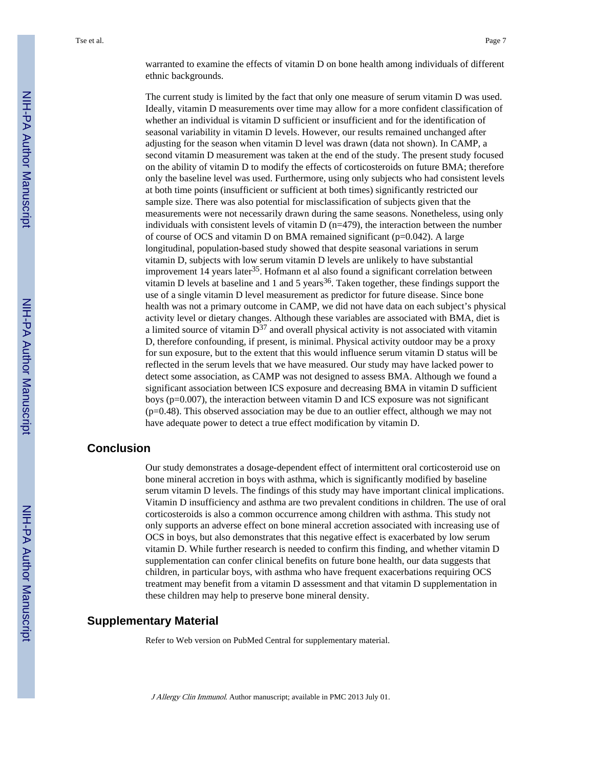warranted to examine the effects of vitamin D on bone health among individuals of different ethnic backgrounds.

The current study is limited by the fact that only one measure of serum vitamin D was used. Ideally, vitamin D measurements over time may allow for a more confident classification of whether an individual is vitamin D sufficient or insufficient and for the identification of seasonal variability in vitamin D levels. However, our results remained unchanged after adjusting for the season when vitamin D level was drawn (data not shown). In CAMP, a second vitamin D measurement was taken at the end of the study. The present study focused on the ability of vitamin D to modify the effects of corticosteroids on future BMA; therefore only the baseline level was used. Furthermore, using only subjects who had consistent levels at both time points (insufficient or sufficient at both times) significantly restricted our sample size. There was also potential for misclassification of subjects given that the measurements were not necessarily drawn during the same seasons. Nonetheless, using only individuals with consistent levels of vitamin  $D$  (n=479), the interaction between the number of course of OCS and vitamin D on BMA remained significant ( $p=0.042$ ). A large longitudinal, population-based study showed that despite seasonal variations in serum vitamin D, subjects with low serum vitamin D levels are unlikely to have substantial improvement 14 years later<sup>35</sup>. Hofmann et al also found a significant correlation between vitamin D levels at baseline and 1 and 5 years<sup>36</sup>. Taken together, these findings support the use of a single vitamin D level measurement as predictor for future disease. Since bone health was not a primary outcome in CAMP, we did not have data on each subject's physical activity level or dietary changes. Although these variables are associated with BMA, diet is a limited source of vitamin  $D^{37}$  and overall physical activity is not associated with vitamin D, therefore confounding, if present, is minimal. Physical activity outdoor may be a proxy for sun exposure, but to the extent that this would influence serum vitamin D status will be reflected in the serum levels that we have measured. Our study may have lacked power to detect some association, as CAMP was not designed to assess BMA. Although we found a significant association between ICS exposure and decreasing BMA in vitamin D sufficient boys (p=0.007), the interaction between vitamin D and ICS exposure was not significant (p=0.48). This observed association may be due to an outlier effect, although we may not have adequate power to detect a true effect modification by vitamin D.

#### **Conclusion**

Our study demonstrates a dosage-dependent effect of intermittent oral corticosteroid use on bone mineral accretion in boys with asthma, which is significantly modified by baseline serum vitamin D levels. The findings of this study may have important clinical implications. Vitamin D insufficiency and asthma are two prevalent conditions in children. The use of oral corticosteroids is also a common occurrence among children with asthma. This study not only supports an adverse effect on bone mineral accretion associated with increasing use of OCS in boys, but also demonstrates that this negative effect is exacerbated by low serum vitamin D. While further research is needed to confirm this finding, and whether vitamin D supplementation can confer clinical benefits on future bone health, our data suggests that children, in particular boys, with asthma who have frequent exacerbations requiring OCS treatment may benefit from a vitamin D assessment and that vitamin D supplementation in these children may help to preserve bone mineral density.

# **Supplementary Material**

Refer to Web version on PubMed Central for supplementary material.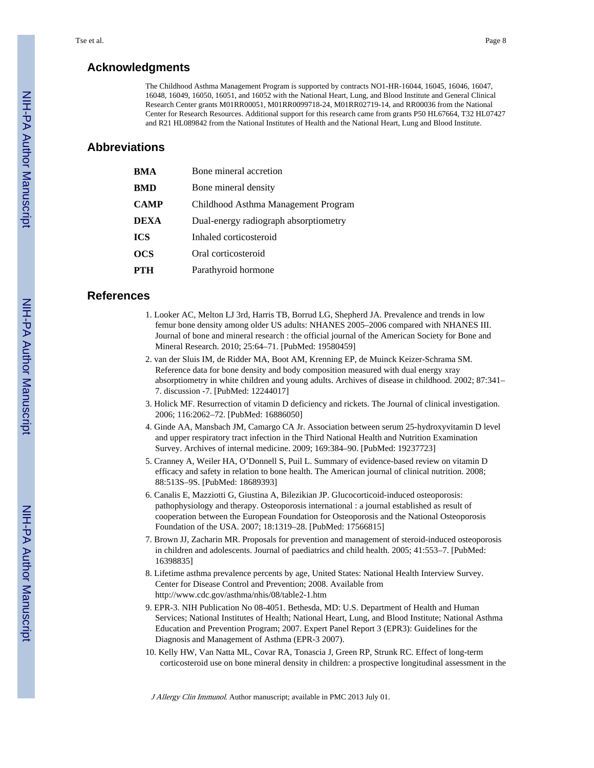## **Acknowledgments**

The Childhood Asthma Management Program is supported by contracts NO1-HR-16044, 16045, 16046, 16047, 16048, 16049, 16050, 16051, and 16052 with the National Heart, Lung, and Blood Institute and General Clinical Research Center grants M01RR00051, M01RR0099718-24, M01RR02719-14, and RR00036 from the National Center for Research Resources. Additional support for this research came from grants P50 HL67664, T32 HL07427 and R21 HL089842 from the National Institutes of Health and the National Heart, Lung and Blood Institute.

# **Abbreviations**

| <b>BMA</b>  | Bone mineral accretion                |
|-------------|---------------------------------------|
| BMD         | Bone mineral density                  |
| <b>CAMP</b> | Childhood Asthma Management Program   |
| <b>DEXA</b> | Dual-energy radiograph absorptiometry |
| <b>ICS</b>  | Inhaled corticosteroid                |
| OCS         | Oral corticosteroid                   |
| PTH         | Parathyroid hormone                   |

#### **References**

- 1. Looker AC, Melton LJ 3rd, Harris TB, Borrud LG, Shepherd JA. Prevalence and trends in low femur bone density among older US adults: NHANES 2005–2006 compared with NHANES III. Journal of bone and mineral research : the official journal of the American Society for Bone and Mineral Research. 2010; 25:64–71. [PubMed: 19580459]
- 2. van der Sluis IM, de Ridder MA, Boot AM, Krenning EP, de Muinck Keizer-Schrama SM. Reference data for bone density and body composition measured with dual energy xray absorptiometry in white children and young adults. Archives of disease in childhood. 2002; 87:341– 7. discussion -7. [PubMed: 12244017]
- 3. Holick MF. Resurrection of vitamin D deficiency and rickets. The Journal of clinical investigation. 2006; 116:2062–72. [PubMed: 16886050]
- 4. Ginde AA, Mansbach JM, Camargo CA Jr. Association between serum 25-hydroxyvitamin D level and upper respiratory tract infection in the Third National Health and Nutrition Examination Survey. Archives of internal medicine. 2009; 169:384–90. [PubMed: 19237723]
- 5. Cranney A, Weiler HA, O'Donnell S, Puil L. Summary of evidence-based review on vitamin D efficacy and safety in relation to bone health. The American journal of clinical nutrition. 2008; 88:513S–9S. [PubMed: 18689393]
- 6. Canalis E, Mazziotti G, Giustina A, Bilezikian JP. Glucocorticoid-induced osteoporosis: pathophysiology and therapy. Osteoporosis international : a journal established as result of cooperation between the European Foundation for Osteoporosis and the National Osteoporosis Foundation of the USA. 2007; 18:1319–28. [PubMed: 17566815]
- 7. Brown JJ, Zacharin MR. Proposals for prevention and management of steroid-induced osteoporosis in children and adolescents. Journal of paediatrics and child health. 2005; 41:553–7. [PubMed: 16398835]
- 8. Lifetime asthma prevalence percents by age, United States: National Health Interview Survey. Center for Disease Control and Prevention; 2008. Available from <http://www.cdc.gov/asthma/nhis/08/table2-1.htm>
- 9. EPR-3. NIH Publication No 08-4051. Bethesda, MD: U.S. Department of Health and Human Services; National Institutes of Health; National Heart, Lung, and Blood Institute; National Asthma Education and Prevention Program; 2007. Expert Panel Report 3 (EPR3): Guidelines for the Diagnosis and Management of Asthma (EPR-3 2007).
- 10. Kelly HW, Van Natta ML, Covar RA, Tonascia J, Green RP, Strunk RC. Effect of long-term corticosteroid use on bone mineral density in children: a prospective longitudinal assessment in the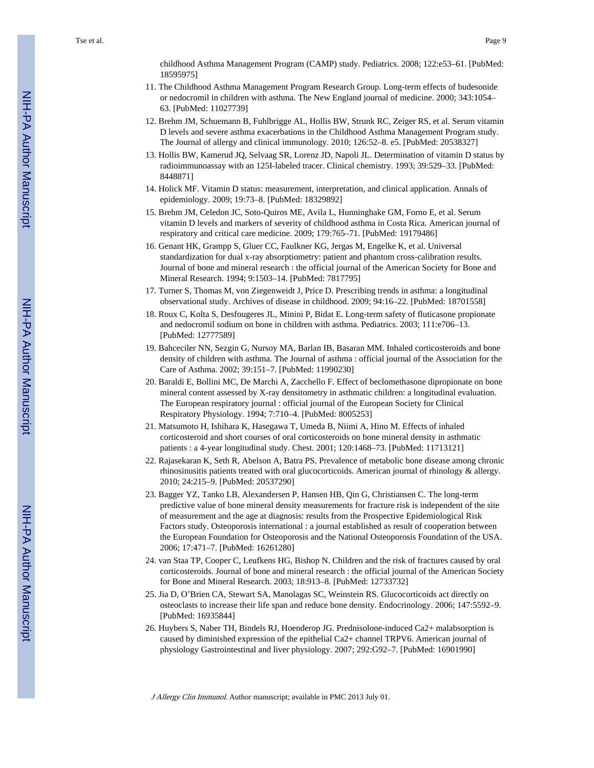childhood Asthma Management Program (CAMP) study. Pediatrics. 2008; 122:e53–61. [PubMed: 18595975]

- 11. The Childhood Asthma Management Program Research Group. Long-term effects of budesonide or nedocromil in children with asthma. The New England journal of medicine. 2000; 343:1054– 63. [PubMed: 11027739]
- 12. Brehm JM, Schuemann B, Fuhlbrigge AL, Hollis BW, Strunk RC, Zeiger RS, et al. Serum vitamin D levels and severe asthma exacerbations in the Childhood Asthma Management Program study. The Journal of allergy and clinical immunology. 2010; 126:52–8. e5. [PubMed: 20538327]
- 13. Hollis BW, Kamerud JQ, Selvaag SR, Lorenz JD, Napoli JL. Determination of vitamin D status by radioimmunoassay with an 125I-labeled tracer. Clinical chemistry. 1993; 39:529–33. [PubMed: 8448871]
- 14. Holick MF. Vitamin D status: measurement, interpretation, and clinical application. Annals of epidemiology. 2009; 19:73–8. [PubMed: 18329892]
- 15. Brehm JM, Celedon JC, Soto-Quiros ME, Avila L, Hunninghake GM, Forno E, et al. Serum vitamin D levels and markers of severity of childhood asthma in Costa Rica. American journal of respiratory and critical care medicine. 2009; 179:765–71. [PubMed: 19179486]
- 16. Genant HK, Grampp S, Gluer CC, Faulkner KG, Jergas M, Engelke K, et al. Universal standardization for dual x-ray absorptiometry: patient and phantom cross-calibration results. Journal of bone and mineral research : the official journal of the American Society for Bone and Mineral Research. 1994; 9:1503–14. [PubMed: 7817795]
- 17. Turner S, Thomas M, von Ziegenweidt J, Price D. Prescribing trends in asthma: a longitudinal observational study. Archives of disease in childhood. 2009; 94:16–22. [PubMed: 18701558]
- 18. Roux C, Kolta S, Desfougeres JL, Minini P, Bidat E. Long-term safety of fluticasone propionate and nedocromil sodium on bone in children with asthma. Pediatrics. 2003; 111:e706–13. [PubMed: 12777589]
- 19. Bahceciler NN, Sezgin G, Nursoy MA, Barlan IB, Basaran MM. Inhaled corticosteroids and bone density of children with asthma. The Journal of asthma : official journal of the Association for the Care of Asthma. 2002; 39:151–7. [PubMed: 11990230]
- 20. Baraldi E, Bollini MC, De Marchi A, Zacchello F. Effect of beclomethasone dipropionate on bone mineral content assessed by X-ray densitometry in asthmatic children: a longitudinal evaluation. The European respiratory journal : official journal of the European Society for Clinical Respiratory Physiology. 1994; 7:710–4. [PubMed: 8005253]
- 21. Matsumoto H, Ishihara K, Hasegawa T, Umeda B, Niimi A, Hino M. Effects of inhaled corticosteroid and short courses of oral corticosteroids on bone mineral density in asthmatic patients : a 4-year longitudinal study. Chest. 2001; 120:1468–73. [PubMed: 11713121]
- 22. Rajasekaran K, Seth R, Abelson A, Batra PS. Prevalence of metabolic bone disease among chronic rhinosinusitis patients treated with oral glucocorticoids. American journal of rhinology & allergy. 2010; 24:215–9. [PubMed: 20537290]
- 23. Bagger YZ, Tanko LB, Alexandersen P, Hansen HB, Qin G, Christiansen C. The long-term predictive value of bone mineral density measurements for fracture risk is independent of the site of measurement and the age at diagnosis: results from the Prospective Epidemiological Risk Factors study. Osteoporosis international : a journal established as result of cooperation between the European Foundation for Osteoporosis and the National Osteoporosis Foundation of the USA. 2006; 17:471–7. [PubMed: 16261280]
- 24. van Staa TP, Cooper C, Leufkens HG, Bishop N. Children and the risk of fractures caused by oral corticosteroids. Journal of bone and mineral research : the official journal of the American Society for Bone and Mineral Research. 2003; 18:913–8. [PubMed: 12733732]
- 25. Jia D, O'Brien CA, Stewart SA, Manolagas SC, Weinstein RS. Glucocorticoids act directly on osteoclasts to increase their life span and reduce bone density. Endocrinology. 2006; 147:5592–9. [PubMed: 16935844]
- 26. Huybers S, Naber TH, Bindels RJ, Hoenderop JG. Prednisolone-induced Ca2+ malabsorption is caused by diminished expression of the epithelial Ca2+ channel TRPV6. American journal of physiology Gastrointestinal and liver physiology. 2007; 292:G92–7. [PubMed: 16901990]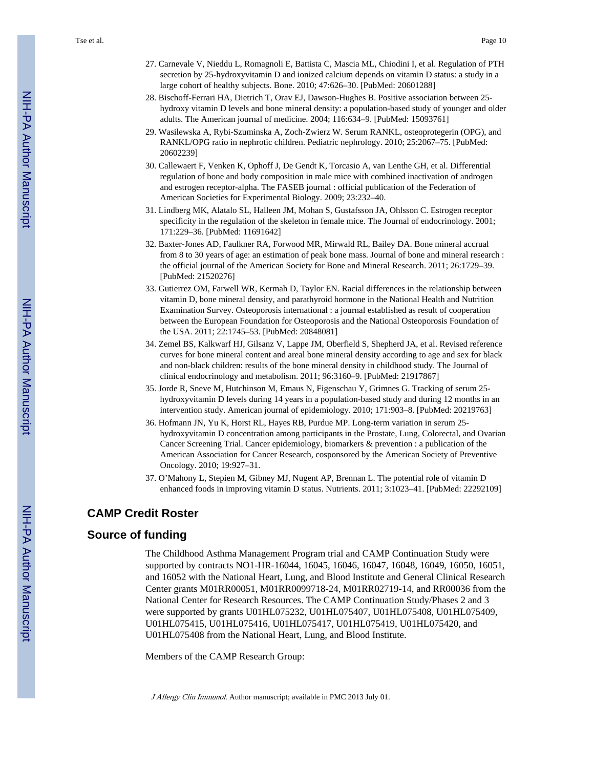Tse et al. Page 10

- 27. Carnevale V, Nieddu L, Romagnoli E, Battista C, Mascia ML, Chiodini I, et al. Regulation of PTH secretion by 25-hydroxyvitamin D and ionized calcium depends on vitamin D status: a study in a large cohort of healthy subjects. Bone. 2010; 47:626–30. [PubMed: 20601288]
- 28. Bischoff-Ferrari HA, Dietrich T, Orav EJ, Dawson-Hughes B. Positive association between 25 hydroxy vitamin D levels and bone mineral density: a population-based study of younger and older adults. The American journal of medicine. 2004; 116:634–9. [PubMed: 15093761]
- 29. Wasilewska A, Rybi-Szuminska A, Zoch-Zwierz W. Serum RANKL, osteoprotegerin (OPG), and RANKL/OPG ratio in nephrotic children. Pediatric nephrology. 2010; 25:2067–75. [PubMed: 20602239]
- 30. Callewaert F, Venken K, Ophoff J, De Gendt K, Torcasio A, van Lenthe GH, et al. Differential regulation of bone and body composition in male mice with combined inactivation of androgen and estrogen receptor-alpha. The FASEB journal : official publication of the Federation of American Societies for Experimental Biology. 2009; 23:232–40.
- 31. Lindberg MK, Alatalo SL, Halleen JM, Mohan S, Gustafsson JA, Ohlsson C. Estrogen receptor specificity in the regulation of the skeleton in female mice. The Journal of endocrinology. 2001; 171:229–36. [PubMed: 11691642]
- 32. Baxter-Jones AD, Faulkner RA, Forwood MR, Mirwald RL, Bailey DA. Bone mineral accrual from 8 to 30 years of age: an estimation of peak bone mass. Journal of bone and mineral research : the official journal of the American Society for Bone and Mineral Research. 2011; 26:1729–39. [PubMed: 21520276]
- 33. Gutierrez OM, Farwell WR, Kermah D, Taylor EN. Racial differences in the relationship between vitamin D, bone mineral density, and parathyroid hormone in the National Health and Nutrition Examination Survey. Osteoporosis international : a journal established as result of cooperation between the European Foundation for Osteoporosis and the National Osteoporosis Foundation of the USA. 2011; 22:1745–53. [PubMed: 20848081]
- 34. Zemel BS, Kalkwarf HJ, Gilsanz V, Lappe JM, Oberfield S, Shepherd JA, et al. Revised reference curves for bone mineral content and areal bone mineral density according to age and sex for black and non-black children: results of the bone mineral density in childhood study. The Journal of clinical endocrinology and metabolism. 2011; 96:3160–9. [PubMed: 21917867]
- 35. Jorde R, Sneve M, Hutchinson M, Emaus N, Figenschau Y, Grimnes G. Tracking of serum 25 hydroxyvitamin D levels during 14 years in a population-based study and during 12 months in an intervention study. American journal of epidemiology. 2010; 171:903–8. [PubMed: 20219763]
- 36. Hofmann JN, Yu K, Horst RL, Hayes RB, Purdue MP. Long-term variation in serum 25 hydroxyvitamin D concentration among participants in the Prostate, Lung, Colorectal, and Ovarian Cancer Screening Trial. Cancer epidemiology, biomarkers & prevention : a publication of the American Association for Cancer Research, cosponsored by the American Society of Preventive Oncology. 2010; 19:927–31.
- 37. O'Mahony L, Stepien M, Gibney MJ, Nugent AP, Brennan L. The potential role of vitamin D enhanced foods in improving vitamin D status. Nutrients. 2011; 3:1023–41. [PubMed: 22292109]

# **CAMP Credit Roster**

# **Source of funding**

The Childhood Asthma Management Program trial and CAMP Continuation Study were supported by contracts NO1-HR-16044, 16045, 16046, 16047, 16048, 16049, 16050, 16051, and 16052 with the National Heart, Lung, and Blood Institute and General Clinical Research Center grants M01RR00051, M01RR0099718-24, M01RR02719-14, and RR00036 from the National Center for Research Resources. The CAMP Continuation Study/Phases 2 and 3 were supported by grants U01HL075232, U01HL075407, U01HL075408, U01HL075409, U01HL075415, U01HL075416, U01HL075417, U01HL075419, U01HL075420, and U01HL075408 from the National Heart, Lung, and Blood Institute.

Members of the CAMP Research Group: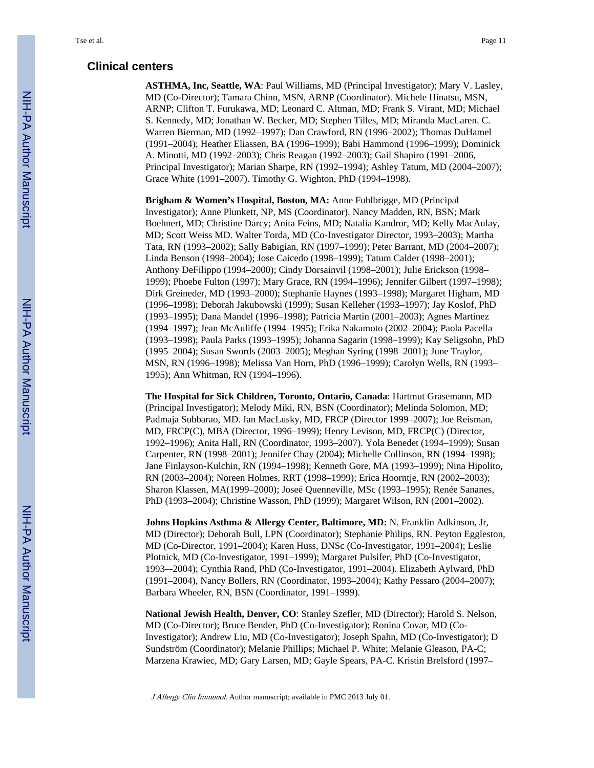**ASTHMA, Inc, Seattle, WA**: Paul Williams, MD (Principal Investigator); Mary V. Lasley, MD (Co-Director); Tamara Chinn, MSN, ARNP (Coordinator). Michele Hinatsu, MSN, ARNP; Clifton T. Furukawa, MD; Leonard C. Altman, MD; Frank S. Virant, MD; Michael S. Kennedy, MD; Jonathan W. Becker, MD; Stephen Tilles, MD; Miranda MacLaren. C. Warren Bierman, MD (1992–1997); Dan Crawford, RN (1996–2002); Thomas DuHamel (1991–2004); Heather Eliassen, BA (1996–1999); Babi Hammond (1996–1999); Dominick A. Minotti, MD (1992–2003); Chris Reagan (1992–2003); Gail Shapiro (1991–2006, Principal Investigator); Marian Sharpe, RN (1992–1994); Ashley Tatum, MD (2004–2007); Grace White (1991–2007). Timothy G. Wighton, PhD (1994–1998).

**Brigham & Women's Hospital, Boston, MA:** Anne Fuhlbrigge, MD (Principal Investigator); Anne Plunkett, NP, MS (Coordinator). Nancy Madden, RN, BSN; Mark Boehnert, MD; Christine Darcy; Anita Feins, MD; Natalia Kandror, MD; Kelly MacAulay, MD; Scott Weiss MD. Walter Torda, MD (Co-Investigator Director, 1993–2003); Martha Tata, RN (1993–2002); Sally Babigian, RN (1997–1999); Peter Barrant, MD (2004–2007); Linda Benson (1998–2004); Jose Caicedo (1998–1999); Tatum Calder (1998–2001); Anthony DeFilippo (1994–2000); Cindy Dorsainvil (1998–2001); Julie Erickson (1998– 1999); Phoebe Fulton (1997); Mary Grace, RN (1994–1996); Jennifer Gilbert (1997–1998); Dirk Greineder, MD (1993–2000); Stephanie Haynes (1993–1998); Margaret Higham, MD (1996–1998); Deborah Jakubowski (1999); Susan Kelleher (1993–1997); Jay Koslof, PhD (1993–1995); Dana Mandel (1996–1998); Patricia Martin (2001–2003); Agnes Martinez (1994–1997); Jean McAuliffe (1994–1995); Erika Nakamoto (2002–2004); Paola Pacella (1993–1998); Paula Parks (1993–1995); Johanna Sagarin (1998–1999); Kay Seligsohn, PhD (1995–2004); Susan Swords (2003–2005); Meghan Syring (1998–2001); June Traylor, MSN, RN (1996–1998); Melissa Van Horn, PhD (1996–1999); Carolyn Wells, RN (1993– 1995); Ann Whitman, RN (1994–1996).

**The Hospital for Sick Children, Toronto, Ontario, Canada**: Hartmut Grasemann, MD (Principal Investigator); Melody Miki, RN, BSN (Coordinator); Melinda Solomon, MD; Padmaja Subbarao, MD. Ian MacLusky, MD, FRCP (Director 1999–2007); Joe Reisman, MD, FRCP(C), MBA (Director, 1996–1999); Henry Levison, MD, FRCP(C) (Director, 1992–1996); Anita Hall, RN (Coordinator, 1993–2007). Yola Benedet (1994–1999); Susan Carpenter, RN (1998–2001); Jennifer Chay (2004); Michelle Collinson, RN (1994–1998); Jane Finlayson-Kulchin, RN (1994–1998); Kenneth Gore, MA (1993–1999); Nina Hipolito, RN (2003–2004); Noreen Holmes, RRT (1998–1999); Erica Hoorntje, RN (2002–2003); Sharon Klassen, MA(1999–2000); Joseé Quenneville, MSc (1993–1995); Renée Sananes, PhD (1993–2004); Christine Wasson, PhD (1999); Margaret Wilson, RN (2001–2002).

**Johns Hopkins Asthma & Allergy Center, Baltimore, MD:** N. Franklin Adkinson, Jr, MD (Director); Deborah Bull, LPN (Coordinator); Stephanie Philips, RN. Peyton Eggleston, MD (Co-Director, 1991–2004); Karen Huss, DNSc (Co-Investigator, 1991–2004); Leslie Plotnick, MD (Co-Investigator, 1991–1999); Margaret Pulsifer, PhD (Co-Investigator, 1993–-2004); Cynthia Rand, PhD (Co-Investigator, 1991–2004). Elizabeth Aylward, PhD (1991–2004), Nancy Bollers, RN (Coordinator, 1993–2004); Kathy Pessaro (2004–2007); Barbara Wheeler, RN, BSN (Coordinator, 1991–1999).

**National Jewish Health, Denver, CO**: Stanley Szefler, MD (Director); Harold S. Nelson, MD (Co-Director); Bruce Bender, PhD (Co-Investigator); Ronina Covar, MD (Co-Investigator); Andrew Liu, MD (Co-Investigator); Joseph Spahn, MD (Co-Investigator); D Sundström (Coordinator); Melanie Phillips; Michael P. White; Melanie Gleason, PA-C; Marzena Krawiec, MD; Gary Larsen, MD; Gayle Spears, PA-C. Kristin Brelsford (1997–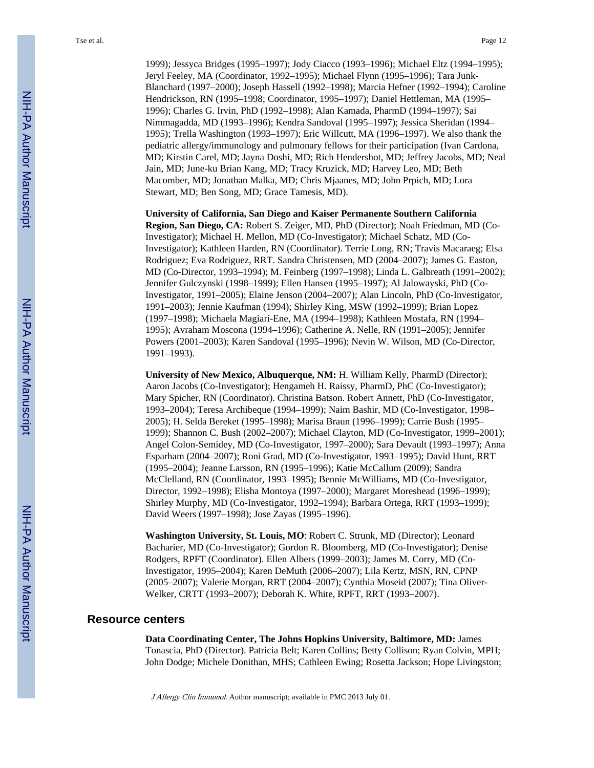1999); Jessyca Bridges (1995–1997); Jody Ciacco (1993–1996); Michael Eltz (1994–1995); Jeryl Feeley, MA (Coordinator, 1992–1995); Michael Flynn (1995–1996); Tara Junk-Blanchard (1997–2000); Joseph Hassell (1992–1998); Marcia Hefner (1992–1994); Caroline Hendrickson, RN (1995–1998; Coordinator, 1995–1997); Daniel Hettleman, MA (1995– 1996); Charles G. Irvin, PhD (1992–1998); Alan Kamada, PharmD (1994–1997); Sai Nimmagadda, MD (1993–1996); Kendra Sandoval (1995–1997); Jessica Sheridan (1994– 1995); Trella Washington (1993–1997); Eric Willcutt, MA (1996–1997). We also thank the pediatric allergy/immunology and pulmonary fellows for their participation (Ivan Cardona, MD; Kirstin Carel, MD; Jayna Doshi, MD; Rich Hendershot, MD; Jeffrey Jacobs, MD; Neal Jain, MD; June-ku Brian Kang, MD; Tracy Kruzick, MD; Harvey Leo, MD; Beth Macomber, MD; Jonathan Malka, MD; Chris Mjaanes, MD; John Prpich, MD; Lora Stewart, MD; Ben Song, MD; Grace Tamesis, MD).

**University of California, San Diego and Kaiser Permanente Southern California Region, San Diego, CA:** Robert S. Zeiger, MD, PhD (Director); Noah Friedman, MD (Co-Investigator); Michael H. Mellon, MD (Co-Investigator); Michael Schatz, MD (Co-Investigator); Kathleen Harden, RN (Coordinator). Terrie Long, RN; Travis Macaraeg; Elsa Rodriguez; Eva Rodriguez, RRT. Sandra Christensen, MD (2004–2007); James G. Easton, MD (Co-Director, 1993–1994); M. Feinberg (1997–1998); Linda L. Galbreath (1991–2002); Jennifer Gulczynski (1998–1999); Ellen Hansen (1995–1997); Al Jalowayski, PhD (Co-Investigator, 1991–2005); Elaine Jenson (2004–2007); Alan Lincoln, PhD (Co-Investigator, 1991–2003); Jennie Kaufman (1994); Shirley King, MSW (1992–1999); Brian Lopez (1997–1998); Michaela Magiari-Ene, MA (1994–1998); Kathleen Mostafa, RN (1994– 1995); Avraham Moscona (1994–1996); Catherine A. Nelle, RN (1991–2005); Jennifer Powers (2001–2003); Karen Sandoval (1995–1996); Nevin W. Wilson, MD (Co-Director, 1991–1993).

**University of New Mexico, Albuquerque, NM:** H. William Kelly, PharmD (Director); Aaron Jacobs (Co-Investigator); Hengameh H. Raissy, PharmD, PhC (Co-Investigator); Mary Spicher, RN (Coordinator). Christina Batson. Robert Annett, PhD (Co-Investigator, 1993–2004); Teresa Archibeque (1994–1999); Naim Bashir, MD (Co-Investigator, 1998– 2005); H. Selda Bereket (1995–1998); Marisa Braun (1996–1999); Carrie Bush (1995– 1999); Shannon C. Bush (2002–2007); Michael Clayton, MD (Co-Investigator, 1999–2001); Angel Colon-Semidey, MD (Co-Investigator, 1997–2000); Sara Devault (1993–1997); Anna Esparham (2004–2007); Roni Grad, MD (Co-Investigator, 1993–1995); David Hunt, RRT (1995–2004); Jeanne Larsson, RN (1995–1996); Katie McCallum (2009); Sandra McClelland, RN (Coordinator, 1993–1995); Bennie McWilliams, MD (Co-Investigator, Director, 1992–1998); Elisha Montoya (1997–2000); Margaret Moreshead (1996–1999); Shirley Murphy, MD (Co-Investigator, 1992–1994); Barbara Ortega, RRT (1993–1999); David Weers (1997–1998); Jose Zayas (1995–1996).

**Washington University, St. Louis, MO**: Robert C. Strunk, MD (Director); Leonard Bacharier, MD (Co-Investigator); Gordon R. Bloomberg, MD (Co-Investigator); Denise Rodgers, RPFT (Coordinator). Ellen Albers (1999–2003); James M. Corry, MD (Co-Investigator, 1995–2004); Karen DeMuth (2006–2007); Lila Kertz, MSN, RN, CPNP (2005–2007); Valerie Morgan, RRT (2004–2007); Cynthia Moseid (2007); Tina Oliver-Welker, CRTT (1993–2007); Deborah K. White, RPFT, RRT (1993–2007).

#### **Resource centers**

**Data Coordinating Center, The Johns Hopkins University, Baltimore, MD:** James Tonascia, PhD (Director). Patricia Belt; Karen Collins; Betty Collison; Ryan Colvin, MPH; John Dodge; Michele Donithan, MHS; Cathleen Ewing; Rosetta Jackson; Hope Livingston;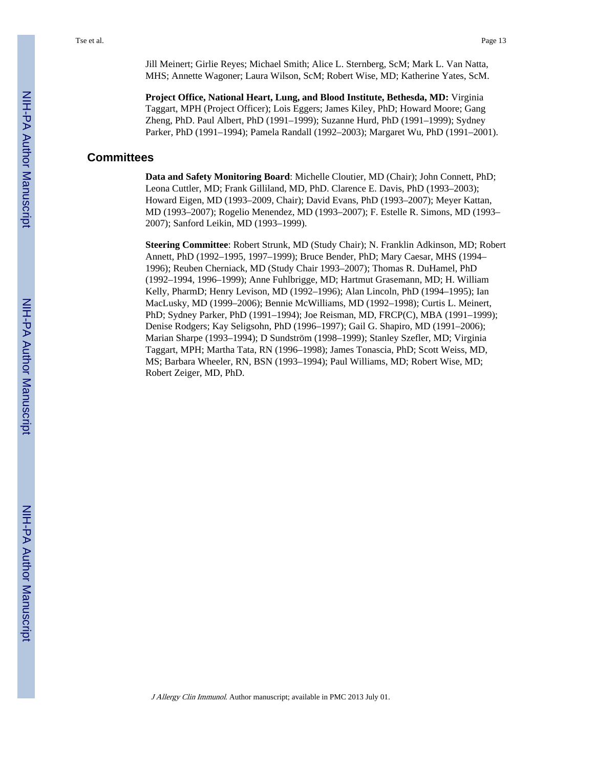Jill Meinert; Girlie Reyes; Michael Smith; Alice L. Sternberg, ScM; Mark L. Van Natta, MHS; Annette Wagoner; Laura Wilson, ScM; Robert Wise, MD; Katherine Yates, ScM.

**Project Office, National Heart, Lung, and Blood Institute, Bethesda, MD:** Virginia Taggart, MPH (Project Officer); Lois Eggers; James Kiley, PhD; Howard Moore; Gang Zheng, PhD. Paul Albert, PhD (1991–1999); Suzanne Hurd, PhD (1991–1999); Sydney Parker, PhD (1991–1994); Pamela Randall (1992–2003); Margaret Wu, PhD (1991–2001).

# **Committees**

**Data and Safety Monitoring Board**: Michelle Cloutier, MD (Chair); John Connett, PhD; Leona Cuttler, MD; Frank Gilliland, MD, PhD. Clarence E. Davis, PhD (1993–2003); Howard Eigen, MD (1993–2009, Chair); David Evans, PhD (1993–2007); Meyer Kattan, MD (1993–2007); Rogelio Menendez, MD (1993–2007); F. Estelle R. Simons, MD (1993– 2007); Sanford Leikin, MD (1993–1999).

**Steering Committee**: Robert Strunk, MD (Study Chair); N. Franklin Adkinson, MD; Robert Annett, PhD (1992–1995, 1997–1999); Bruce Bender, PhD; Mary Caesar, MHS (1994– 1996); Reuben Cherniack, MD (Study Chair 1993–2007); Thomas R. DuHamel, PhD (1992–1994, 1996–1999); Anne Fuhlbrigge, MD; Hartmut Grasemann, MD; H. William Kelly, PharmD; Henry Levison, MD (1992–1996); Alan Lincoln, PhD (1994–1995); Ian MacLusky, MD (1999–2006); Bennie McWilliams, MD (1992–1998); Curtis L. Meinert, PhD; Sydney Parker, PhD (1991–1994); Joe Reisman, MD, FRCP(C), MBA (1991–1999); Denise Rodgers; Kay Seligsohn, PhD (1996–1997); Gail G. Shapiro, MD (1991–2006); Marian Sharpe (1993–1994); D Sundström (1998–1999); Stanley Szefler, MD; Virginia Taggart, MPH; Martha Tata, RN (1996–1998); James Tonascia, PhD; Scott Weiss, MD, MS; Barbara Wheeler, RN, BSN (1993–1994); Paul Williams, MD; Robert Wise, MD; Robert Zeiger, MD, PhD.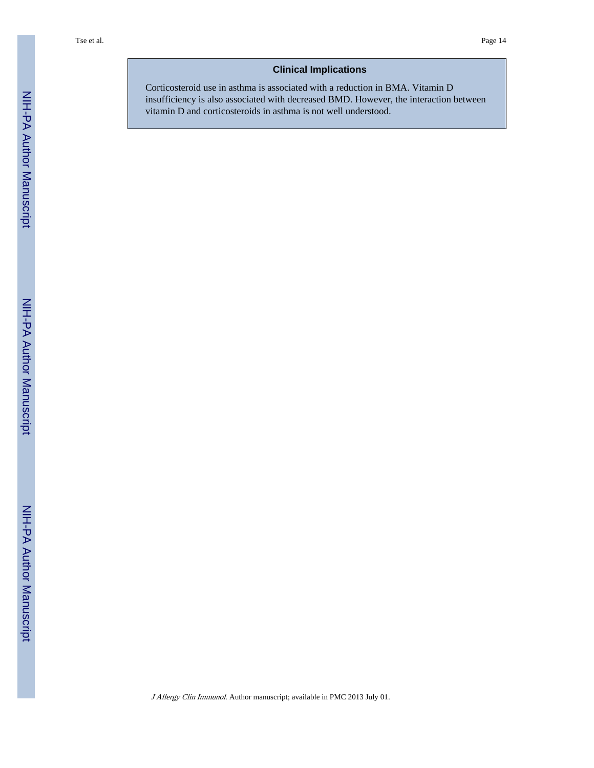#### **Clinical Implications**

Corticosteroid use in asthma is associated with a reduction in BMA. Vitamin D insufficiency is also associated with decreased BMD. However, the interaction between vitamin D and corticosteroids in asthma is not well understood.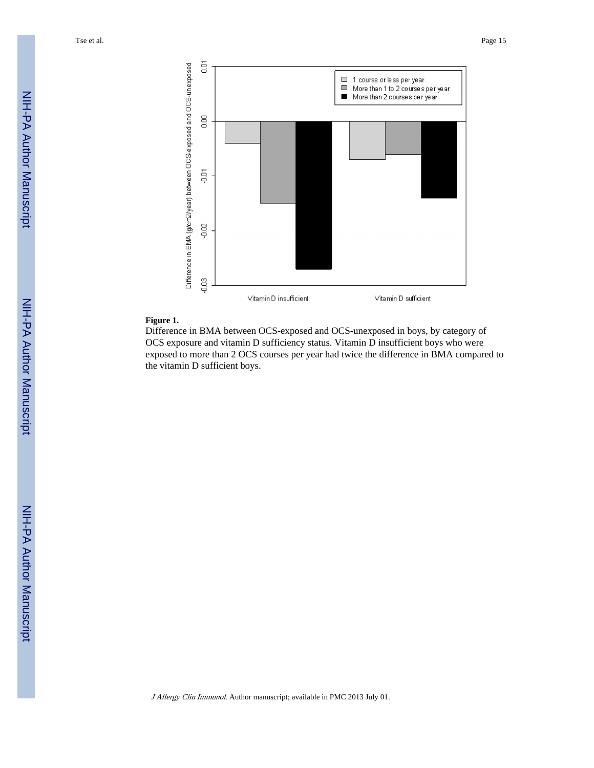Tse et al. Page 15



#### **Figure 1.**

Difference in BMA between OCS-exposed and OCS-unexposed in boys, by category of OCS exposure and vitamin D sufficiency status. Vitamin D insufficient boys who were exposed to more than 2 OCS courses per year had twice the difference in BMA compared to the vitamin D sufficient boys.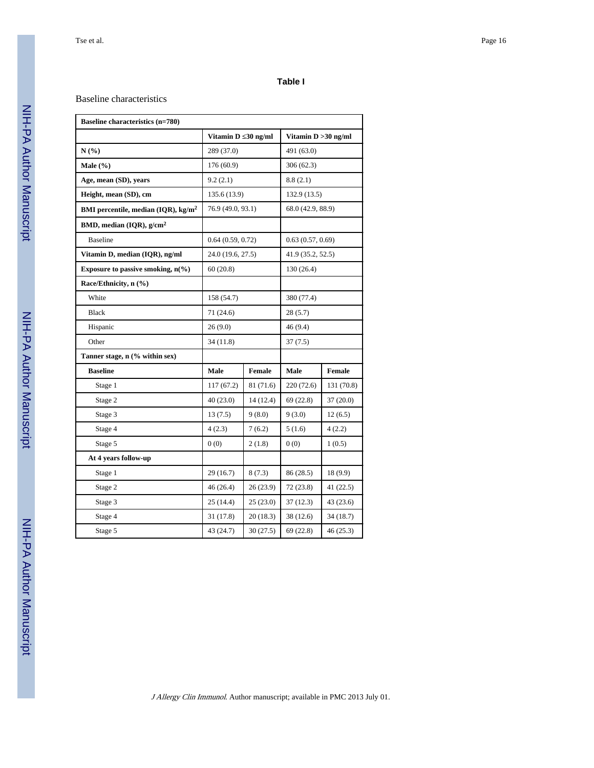#### **Table I**

#### Baseline characteristics

| <b>Baseline characteristics (n=780)</b>         |                   |            |                        |            |
|-------------------------------------------------|-------------------|------------|------------------------|------------|
|                                                 | Vitamin D         | $30$ ng/ml | Vitamin $D > 30$ ng/ml |            |
| N(%)                                            | 289 (37.0)        |            | 491 (63.0)             |            |
| Male $(\% )$                                    | 176 (60.9)        |            | 306(62.3)              |            |
| Age, mean (SD), years                           | 9.2(2.1)          |            | 8.8(2.1)               |            |
| Height, mean (SD), cm                           | 135.6 (13.9)      |            | 132.9 (13.5)           |            |
| BMI percentile, median (IQR), kg/m <sup>2</sup> | 76.9 (49.0, 93.1) |            | 68.0 (42.9, 88.9)      |            |
| BMD, median (IQR), g/cm <sup>2</sup>            |                   |            |                        |            |
| <b>Baseline</b>                                 | 0.64(0.59, 0.72)  |            | 0.63(0.57, 0.69)       |            |
| Vitamin D, median (IQR), ng/ml                  | 24.0 (19.6, 27.5) |            | 41.9 (35.2, 52.5)      |            |
| Exposure to passive smoking, $n(\%)$            | 60(20.8)          |            | 130 (26.4)             |            |
| Race/Ethnicity, n (%)                           |                   |            |                        |            |
| White                                           | 158 (54.7)        |            | 380 (77.4)             |            |
| <b>Black</b>                                    | 71 (24.6)         |            | 28 (5.7)               |            |
| Hispanic                                        | 26(9.0)           |            | 46 (9.4)               |            |
| Other                                           | 34 (11.8)         |            | 37(7.5)                |            |
| Tanner stage, n (% within sex)                  |                   |            |                        |            |
| <b>Baseline</b>                                 | Male              | Female     | Male                   | Female     |
| Stage 1                                         | 117(67.2)         | 81 (71.6)  | 220 (72.6)             | 131 (70.8) |
| Stage 2                                         | 40(23.0)          | 14(12.4)   | 69(22.8)               | 37(20.0)   |
| Stage 3                                         | 13(7.5)           | 9(8.0)     | 9(3.0)                 | 12(6.5)    |
| Stage 4                                         | 4(2.3)            | 7(6.2)     | 5(1.6)                 | 4(2.2)     |
| Stage 5                                         | 0(0)              | 2(1.8)     | 0(0)                   | 1(0.5)     |
| At 4 years follow-up                            |                   |            |                        |            |
| Stage 1                                         | 29 (16.7)         | 8 (7.3)    | 86 (28.5)              | 18 (9.9)   |
| Stage 2                                         | 46 (26.4)         | 26(23.9)   | 72(23.8)               | 41 (22.5)  |
| Stage 3                                         | 25 (14.4)         | 25(23.0)   | 37 (12.3)              | 43 (23.6)  |
| Stage 4                                         | 31 (17.8)         | 20(18.3)   | 38 (12.6)              | 34 (18.7)  |
| Stage 5                                         | 43 (24.7)         | 30(27.5)   | 69(22.8)               | 46(25.3)   |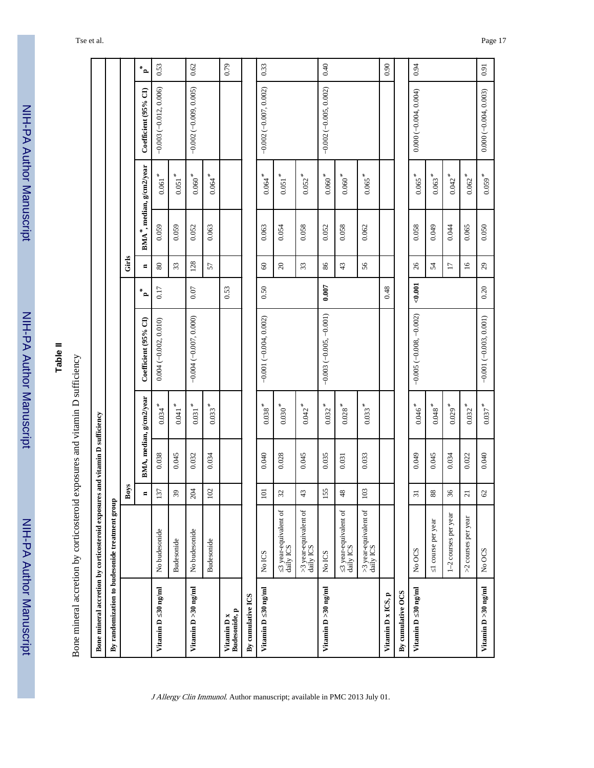NIH-PA Author ManuscriptNIH-PA Author Manuscript г

# **Table II**

| Rone muneral accretion by corticosteroid exposures and vitamun $\Gamma$ sufficiency<br>i |
|------------------------------------------------------------------------------------------|
|                                                                                          |
|                                                                                          |
|                                                                                          |
| ני ש                                                                                     |
| contract of the state of the state                                                       |
|                                                                                          |
|                                                                                          |
| :<br>;                                                                                   |
| $\frac{1}{2}$<br>ſ                                                                       |

|                                 | Bone mineral accretion by corticosteroid exposures and vitamin D sufficiency |                            |       |                         |                          |                  |                     |       |                                       |                          |                |
|---------------------------------|------------------------------------------------------------------------------|----------------------------|-------|-------------------------|--------------------------|------------------|---------------------|-------|---------------------------------------|--------------------------|----------------|
|                                 | By randomization to budesonide treatment group                               |                            |       |                         |                          |                  |                     |       |                                       |                          |                |
|                                 |                                                                              | Boys                       |       |                         |                          |                  | Girls               |       |                                       |                          |                |
|                                 |                                                                              | $\blacksquare$             |       | BMA, median, g/cm2/year | Coefficient (95% CI)     | $*_{\mathbf{a}}$ | $\blacksquare$      |       | BMA <sup>*</sup> , median, g/cm2/year | Coefficient (95% CI)     | $\mathbf{z}^*$ |
| $30 \text{ ng/ml}$<br>Vitamin D | No budesonide                                                                | 137                        | 0.038 | $0.034$ <sup>*</sup>    | $0.004 (-0.002, 0.010)$  | 0.17             | 80                  | 0.059 | $0.061$ $^{\ast}$                     | $-0.003(-0.012, 0.006)$  | 0.53           |
|                                 | <b>Budesonide</b>                                                            | $39$                       | 0.045 | $0.041$ $^{\ast}$       |                          |                  | 33                  | 0.059 | $0.051$ $^{\ast}$                     |                          |                |
| Vitamin D > 30 ng/ml            | No budesonide                                                                | 204                        | 0.032 | $0.031$ $^{\ast}$       | $-0.004 (-0.007, 0.000)$ | $0.07$           | 128                 | 0.052 | $0.060$ $^{\ast}$                     | $-0.002(-0.009, 0.005)$  | 0.62           |
|                                 | <b>Budesonide</b>                                                            | $102\,$                    | 0.034 | $0.033$ <sup>*</sup>    |                          |                  | 57                  | 0.063 | $0.064$ <sup>*</sup>                  |                          |                |
| Budesonide, p<br>Vitamin D x    |                                                                              |                            |       |                         |                          | 0.53             |                     |       |                                       |                          | 0.79           |
| By cumulative ICS               |                                                                              |                            |       |                         |                          |                  |                     |       |                                       |                          |                |
| Vitamin D 30 ng/ml              | No ICS                                                                       | 101                        | 0.040 | $0.038**$               | $-0.001(-0.004, 0.002)$  | 0.50             | $\pmb{\mathcal{S}}$ | 0.063 | $0.064$ <sup>*</sup>                  | $-0.002(-0.007, 0.002)$  | 0.33           |
|                                 | 3 year-equivalent of<br>daily ICS                                            | $\mathfrak{L}$             | 0.028 | $0.030$ $^{\ast}$       |                          |                  | $\Omega$            | 0.054 | $0.051$ <sup>*</sup>                  |                          |                |
|                                 | $>3$ year-equivalent of daily ICS                                            | 43                         | 0.045 | $0.042$ <sup>*</sup>    |                          |                  | 33                  | 0.058 | $0.052$ <sup>*</sup>                  |                          |                |
| Vitamin D > 30 ng/ml            | No ICS                                                                       | 155                        | 0.035 | $0.032$ <sup>*</sup>    | $-0.003(-0.005, -0.001)$ | 0.007            | $86\,$              | 0.052 | $0.060$ $^{\ast}$                     | $-0.002 (-0.005, 0.002)$ | 0.40           |
|                                 | 3 year-equivalent of<br>daily ICS                                            | 48                         | 0.031 | $0.028$ $^{\ast}$       |                          |                  | 43                  | 0.058 | $0.060$ $^{\ast}$                     |                          |                |
|                                 | >3 year-equivalent of<br>daily ICS                                           | 103                        | 0.033 | $0.033$ <sup>*</sup>    |                          |                  | 56                  | 0.062 | $0.065$ <sup>*</sup>                  |                          |                |
| Vitamin D x ICS, p              |                                                                              |                            |       |                         |                          | 0.48             |                     |       |                                       |                          | 0.90           |
| By cumulative OCS               |                                                                              |                            |       |                         |                          |                  |                     |       |                                       |                          |                |
| Vitamin D 30 ng/ml              | No OCS                                                                       | $\overline{31}$            | 0.049 | $0.046$ $^{\ast}$       | $-0.005(-0.008, -0.002)$ | 0.001            | 26                  | 0.058 | $0.065$ <sup>*</sup>                  | $0.000(-0.004, 0.004)$   | 0.94           |
|                                 | 1 course per year                                                            | 88                         | 0.045 | $0.048$ $^{\ast}$       |                          |                  | 54                  | 0.049 | $0.063$ <sup>*</sup>                  |                          |                |
|                                 | 1-2 courses per year                                                         | $36\,$                     | 0.034 | $0.029$ <sup>*</sup>    |                          |                  | $\overline{17}$     | 0.044 | $0.042$ <sup>*</sup>                  |                          |                |
|                                 | >2 courses per year                                                          | $\overline{21}$            | 0.022 | $0.032$ <sup>*</sup>    |                          |                  | $\tilde{a}$         | 0.065 | $0.062$ <sup>*</sup>                  |                          |                |
| Vitamin D > 30 ng/ml            | No OCS                                                                       | $\ensuremath{\mathcal{C}}$ | 0.040 | $0.037$ <sup>*</sup>    | $-0.001(-0.003, 0.001)$  | 0.20             | $^{29}$             | 0.050 | $0.059$ <sup>*</sup>                  | $0.000 (-0.004, 0.003)$  | 0.91           |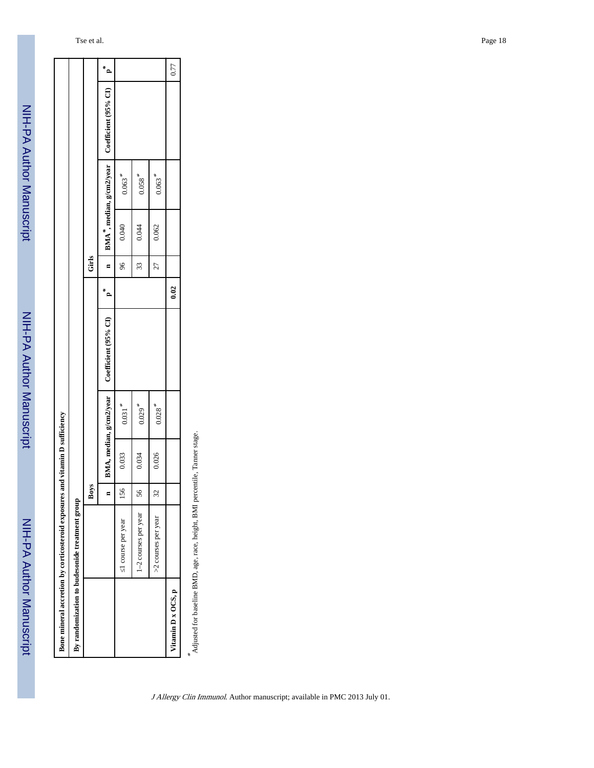NIH-PA Author Manuscript NIH-PA Author Manuscript

| $n$ BMA <sup>*</sup> , median, g/cm2/year Coefficient (95% CI)<br>$0.063**$<br>$0.058$ $^{\ast}$<br>$0.063**$<br>0.040<br>0.062<br>0.044<br>Girls<br>96<br>33<br>27<br>0.02<br>$\overline{a}$<br>Coefficient (95% CI)<br>BMA, median, g/cm2/year<br>$0.031$ <sup>*</sup><br>$0.029$ <sup>*</sup><br>$0.028$ <sup>*</sup><br>0.026<br>0.033<br>0.034<br>Boys<br>156<br>56<br>$\Im$<br>By randomization to budesonide treatment group<br>1-2 courses per year<br>>2 courses per year<br>1 course per year<br>Vitamin D x OCS, p | Bone mineral accretion by corticosteroid exposures and | vitamin D sufficiency |  |  |  |         |
|-------------------------------------------------------------------------------------------------------------------------------------------------------------------------------------------------------------------------------------------------------------------------------------------------------------------------------------------------------------------------------------------------------------------------------------------------------------------------------------------------------------------------------|--------------------------------------------------------|-----------------------|--|--|--|---------|
|                                                                                                                                                                                                                                                                                                                                                                                                                                                                                                                               |                                                        |                       |  |  |  |         |
|                                                                                                                                                                                                                                                                                                                                                                                                                                                                                                                               |                                                        |                       |  |  |  |         |
|                                                                                                                                                                                                                                                                                                                                                                                                                                                                                                                               |                                                        |                       |  |  |  | م*<br>— |
|                                                                                                                                                                                                                                                                                                                                                                                                                                                                                                                               |                                                        |                       |  |  |  |         |
|                                                                                                                                                                                                                                                                                                                                                                                                                                                                                                                               |                                                        |                       |  |  |  |         |
|                                                                                                                                                                                                                                                                                                                                                                                                                                                                                                                               |                                                        |                       |  |  |  |         |
|                                                                                                                                                                                                                                                                                                                                                                                                                                                                                                                               |                                                        |                       |  |  |  | 0.77    |

 $\stackrel{*}{\sim}$  Adjusted for baseline BMD, age, race, height, BMI percentile, Tamer stage. Adjusted for baseline BMD, age, race, height, BMI percentile, Tanner stage.